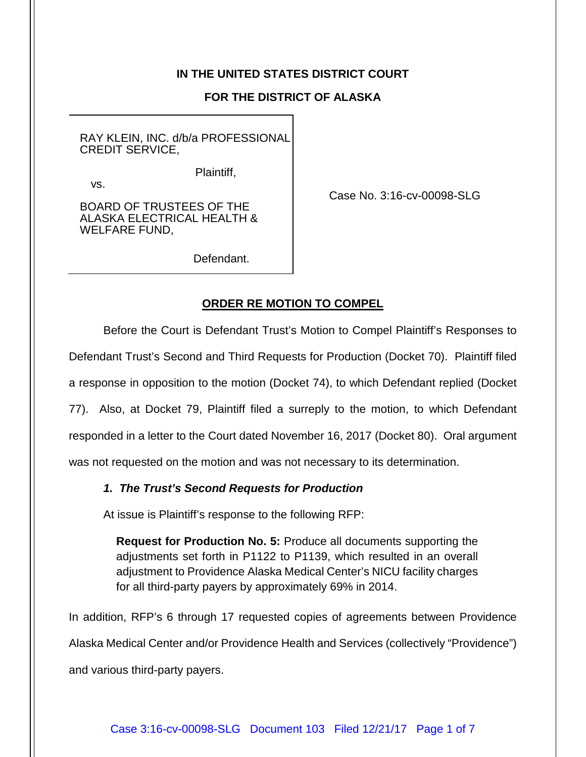## **IN THE UNITED STATES DISTRICT COURT**

## **FOR THE DISTRICT OF ALASKA**

RAY KLEIN, INC. d/b/a PROFESSIONAL CREDIT SERVICE,

Plaintiff,

vs.

BOARD OF TRUSTEES OF THE ALASKA ELECTRICAL HEALTH & WELFARE FUND,

Case No. 3:16-cv-00098-SLG

Defendant.

# **ORDER RE MOTION TO COMPEL**

Before the Court is Defendant Trust's Motion to Compel Plaintiff's Responses to

Defendant Trust's Second and Third Requests for Production (Docket 70). Plaintiff filed

a response in opposition to the motion (Docket 74), to which Defendant replied (Docket

77). Also, at Docket 79, Plaintiff filed a surreply to the motion, to which Defendant

responded in a letter to the Court dated November 16, 2017 (Docket 80). Oral argument

was not requested on the motion and was not necessary to its determination.

### *1. The Trust's Second Requests for Production*

At issue is Plaintiff's response to the following RFP:

**Request for Production No. 5:** Produce all documents supporting the adjustments set forth in P1122 to P1139, which resulted in an overall adjustment to Providence Alaska Medical Center's NICU facility charges for all third-party payers by approximately 69% in 2014.

In addition, RFP's 6 through 17 requested copies of agreements between Providence

Alaska Medical Center and/or Providence Health and Services (collectively "Providence")

and various third-party payers.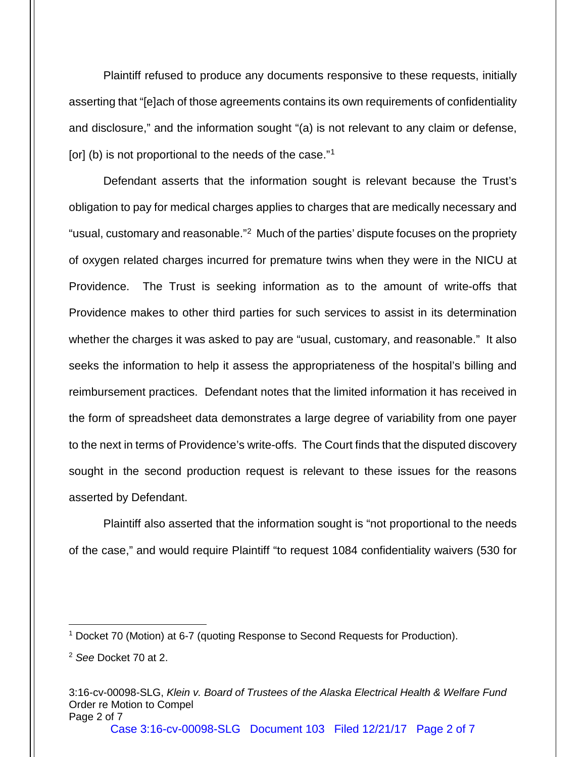Plaintiff refused to produce any documents responsive to these requests, initially asserting that "[e]ach of those agreements contains its own requirements of confidentiality and disclosure," and the information sought "(a) is not relevant to any claim or defense, [or] (b) is not proportional to the needs of the case."<sup>1</sup>

Defendant asserts that the information sought is relevant because the Trust's obligation to pay for medical charges applies to charges that are medically necessary and "usual, customary and reasonable.["2](#page-1-1) Much of the parties' dispute focuses on the propriety of oxygen related charges incurred for premature twins when they were in the NICU at Providence. The Trust is seeking information as to the amount of write-offs that Providence makes to other third parties for such services to assist in its determination whether the charges it was asked to pay are "usual, customary, and reasonable." It also seeks the information to help it assess the appropriateness of the hospital's billing and reimbursement practices. Defendant notes that the limited information it has received in the form of spreadsheet data demonstrates a large degree of variability from one payer to the next in terms of Providence's write-offs. The Court finds that the disputed discovery sought in the second production request is relevant to these issues for the reasons asserted by Defendant.

Plaintiff also asserted that the information sought is "not proportional to the needs of the case," and would require Plaintiff "to request 1084 confidentiality waivers (530 for

Case 3:16-cv-00098-SLG Document 103 Filed 12/21/17 Page 2 of 7

<span id="page-1-0"></span> <sup>1</sup> Docket 70 (Motion) at 6-7 (quoting Response to Second Requests for Production).

<span id="page-1-1"></span><sup>2</sup> *See* Docket 70 at 2.

<sup>3:16-</sup>cv-00098-SLG, *Klein v. Board of Trustees of the Alaska Electrical Health & Welfare Fund* Order re Motion to Compel Page 2 of 7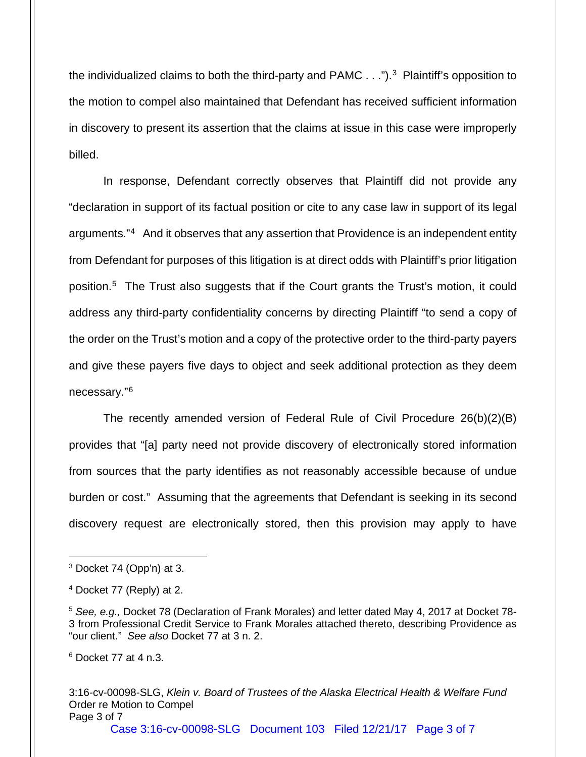the individualized claims to both the third-party and PAMC . . ."). [3](#page-2-0) Plaintiff's opposition to the motion to compel also maintained that Defendant has received sufficient information in discovery to present its assertion that the claims at issue in this case were improperly billed.

In response, Defendant correctly observes that Plaintiff did not provide any "declaration in support of its factual position or cite to any case law in support of its legal arguments."[4](#page-2-1) And it observes that any assertion that Providence is an independent entity from Defendant for purposes of this litigation is at direct odds with Plaintiff's prior litigation position. [5](#page-2-2) The Trust also suggests that if the Court grants the Trust's motion, it could address any third-party confidentiality concerns by directing Plaintiff "to send a copy of the order on the Trust's motion and a copy of the protective order to the third-party payers and give these payers five days to object and seek additional protection as they deem necessary."[6](#page-2-3)

The recently amended version of Federal Rule of Civil Procedure 26(b)(2)(B) provides that "[a] party need not provide discovery of electronically stored information from sources that the party identifies as not reasonably accessible because of undue burden or cost." Assuming that the agreements that Defendant is seeking in its second discovery request are electronically stored, then this provision may apply to have

<span id="page-2-3"></span><sup>6</sup> Docket 77 at 4 n.3.

3:16-cv-00098-SLG, *Klein v. Board of Trustees of the Alaska Electrical Health & Welfare Fund* Order re Motion to Compel Page 3 of 7

Case 3:16-cv-00098-SLG Document 103 Filed 12/21/17 Page 3 of 7

<span id="page-2-0"></span> <sup>3</sup> Docket 74 (Opp'n) at 3.

<span id="page-2-1"></span><sup>4</sup> Docket 77 (Reply) at 2.

<span id="page-2-2"></span><sup>5</sup> *See, e.g.,* Docket 78 (Declaration of Frank Morales) and letter dated May 4, 2017 at Docket 78- 3 from Professional Credit Service to Frank Morales attached thereto, describing Providence as "our client." *See also* Docket 77 at 3 n. 2.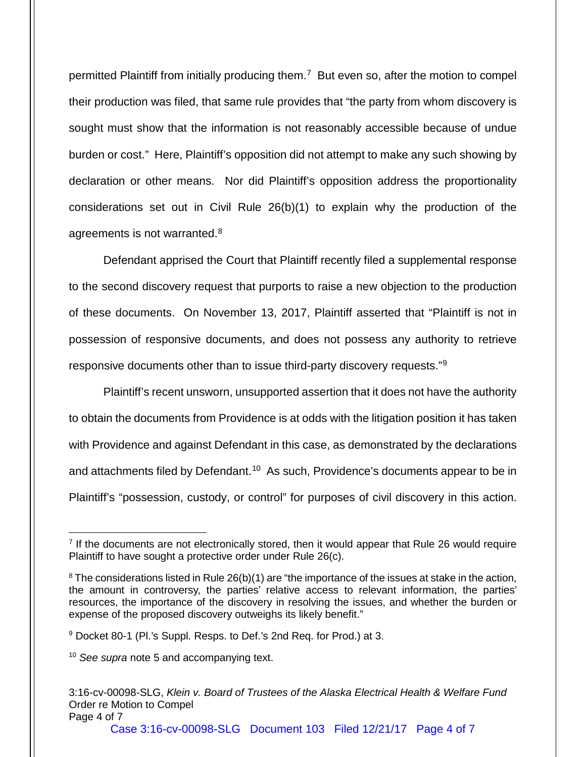permitted Plaintiff from initially producing them.[7](#page-3-0) But even so, after the motion to compel their production was filed, that same rule provides that "the party from whom discovery is sought must show that the information is not reasonably accessible because of undue burden or cost." Here, Plaintiff's opposition did not attempt to make any such showing by declaration or other means. Nor did Plaintiff's opposition address the proportionality considerations set out in Civil Rule 26(b)(1) to explain why the production of the agreements is not warranted.<sup>[8](#page-3-1)</sup>

Defendant apprised the Court that Plaintiff recently filed a supplemental response to the second discovery request that purports to raise a new objection to the production of these documents. On November 13, 2017, Plaintiff asserted that "Plaintiff is not in possession of responsive documents, and does not possess any authority to retrieve responsive documents other than to issue third-party discovery requests."[9](#page-3-2)

Plaintiff's recent unsworn, unsupported assertion that it does not have the authority to obtain the documents from Providence is at odds with the litigation position it has taken with Providence and against Defendant in this case, as demonstrated by the declarations and attachments filed by Defendant.<sup>[10](#page-3-3)</sup> As such, Providence's documents appear to be in Plaintiff's "possession, custody, or control" for purposes of civil discovery in this action.

Case 3:16-cv-00098-SLG Document 103 Filed 12/21/17 Page 4 of 7

<span id="page-3-0"></span> $7$  If the documents are not electronically stored, then it would appear that Rule 26 would require Plaintiff to have sought a protective order under Rule 26(c).

<span id="page-3-1"></span> $8$  The considerations listed in Rule 26(b)(1) are "the importance of the issues at stake in the action, the amount in controversy, the parties' relative access to relevant information, the parties' resources, the importance of the discovery in resolving the issues, and whether the burden or expense of the proposed discovery outweighs its likely benefit."

<span id="page-3-2"></span><sup>9</sup> Docket 80-1 (Pl.'s Suppl. Resps. to Def.'s 2nd Req. for Prod.) at 3.

<span id="page-3-3"></span><sup>&</sup>lt;sup>10</sup> See supra note 5 and accompanying text.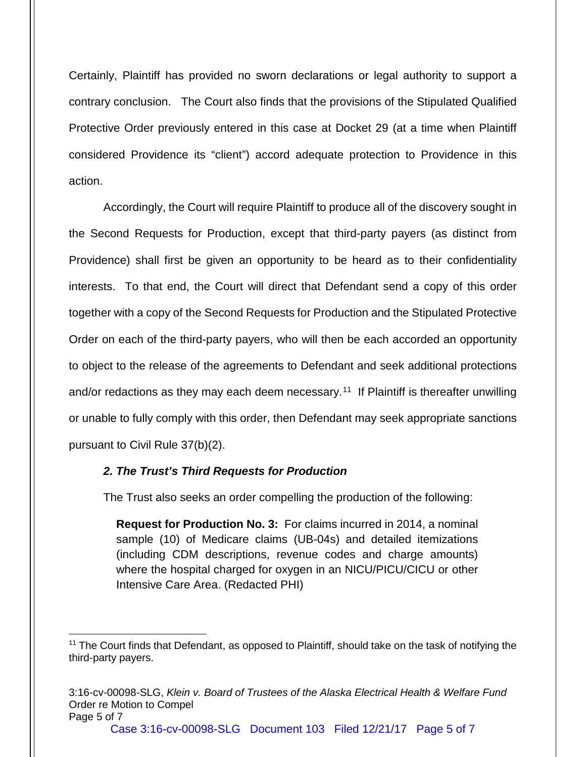Certainly, Plaintiff has provided no sworn declarations or legal authority to support a contrary conclusion. The Court also finds that the provisions of the Stipulated Qualified Protective Order previously entered in this case at Docket 29 (at a time when Plaintiff considered Providence its "client") accord adequate protection to Providence in this action.

Accordingly, the Court will require Plaintiff to produce all of the discovery sought in the Second Requests for Production, except that third-party payers (as distinct from Providence) shall first be given an opportunity to be heard as to their confidentiality interests. To that end, the Court will direct that Defendant send a copy of this order together with a copy of the Second Requests for Production and the Stipulated Protective Order on each of the third-party payers, who will then be each accorded an opportunity to object to the release of the agreements to Defendant and seek additional protections and/or redactions as they may each deem necessary.<sup>[11](#page-4-0)</sup> If Plaintiff is thereafter unwilling or unable to fully comply with this order, then Defendant may seek appropriate sanctions pursuant to Civil Rule 37(b)(2).

#### *2. The Trust's Third Requests for Production*

The Trust also seeks an order compelling the production of the following:

**Request for Production No. 3:** For claims incurred in 2014, a nominal sample (10) of Medicare claims (UB-04s) and detailed itemizations (including CDM descriptions, revenue codes and charge amounts) where the hospital charged for oxygen in an NICU/PICU/CICU or other Intensive Care Area. (Redacted PHI)

<span id="page-4-0"></span><sup>&</sup>lt;sup>11</sup> The Court finds that Defendant, as opposed to Plaintiff, should take on the task of notifying the third-party payers.

<sup>3:16-</sup>cv-00098-SLG, *Klein v. Board of Trustees of the Alaska Electrical Health & Welfare Fund* Order re Motion to Compel Page 5 of 7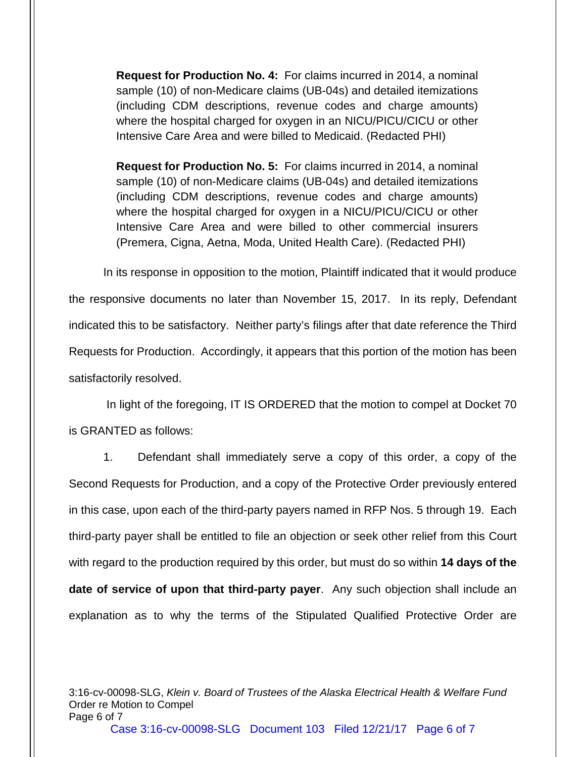**Request for Production No. 4:** For claims incurred in 2014, a nominal sample (10) of non-Medicare claims (UB-04s) and detailed itemizations (including CDM descriptions, revenue codes and charge amounts) where the hospital charged for oxygen in an NICU/PICU/CICU or other Intensive Care Area and were billed to Medicaid. (Redacted PHI)

**Request for Production No. 5:** For claims incurred in 2014, a nominal sample (10) of non-Medicare claims (UB-04s) and detailed itemizations (including CDM descriptions, revenue codes and charge amounts) where the hospital charged for oxygen in a NICU/PICU/CICU or other Intensive Care Area and were billed to other commercial insurers (Premera, Cigna, Aetna, Moda, United Health Care). (Redacted PHI)

In its response in opposition to the motion, Plaintiff indicated that it would produce the responsive documents no later than November 15, 2017. In its reply, Defendant indicated this to be satisfactory. Neither party's filings after that date reference the Third Requests for Production. Accordingly, it appears that this portion of the motion has been satisfactorily resolved.

In light of the foregoing, IT IS ORDERED that the motion to compel at Docket 70 is GRANTED as follows:

1. Defendant shall immediately serve a copy of this order, a copy of the Second Requests for Production, and a copy of the Protective Order previously entered in this case, upon each of the third-party payers named in RFP Nos. 5 through 19. Each third-party payer shall be entitled to file an objection or seek other relief from this Court with regard to the production required by this order, but must do so within **14 days of the date of service of upon that third-party payer**. Any such objection shall include an explanation as to why the terms of the Stipulated Qualified Protective Order are

3:16-cv-00098-SLG, *Klein v. Board of Trustees of the Alaska Electrical Health & Welfare Fund* Order re Motion to Compel Page 6 of 7